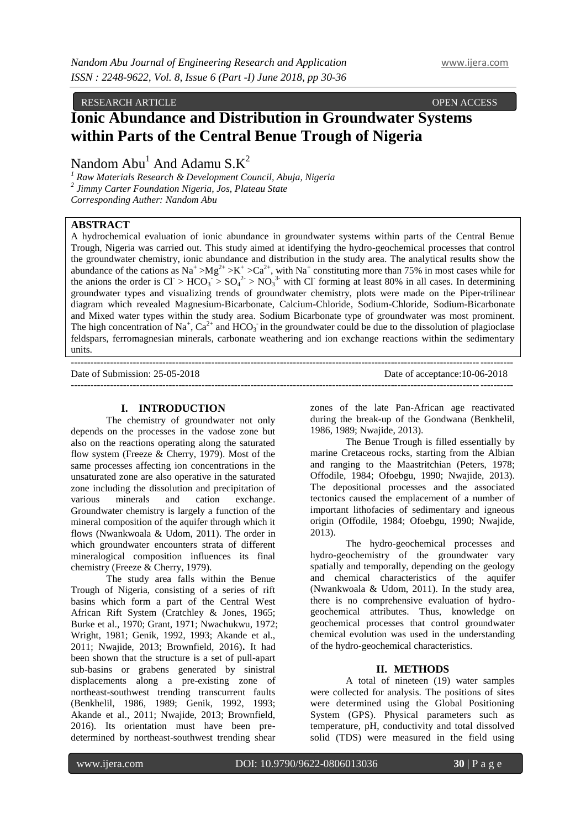RESEARCH ARTICLE **CONSERVERS** OPEN ACCESS OPEN ACCESS

# **Ionic Abundance and Distribution in Groundwater Systems within Parts of the Central Benue Trough of Nigeria**

Nandom  $Abu<sup>1</sup>$  And Adamu  $S.K<sup>2</sup>$ 

*<sup>1</sup> Raw Materials Research & Development Council, Abuja, Nigeria 2 Jimmy Carter Foundation Nigeria, Jos, Plateau State Corresponding Auther: Nandom Abu*

# **ABSTRACT**

A hydrochemical evaluation of ionic abundance in groundwater systems within parts of the Central Benue Trough, Nigeria was carried out. This study aimed at identifying the hydro-geochemical processes that control the groundwater chemistry, ionic abundance and distribution in the study area. The analytical results show the abundance of the cations as Na<sup>+</sup> >Mg<sup>2+</sup> >K<sup>+</sup> >Ca<sup>2+</sup>, with Na<sup>+</sup> constituting more than 75% in most cases while for the anions the order is  $CI > HCO_3 > SO_4^2 > NO_3^3$  with Cl forming at least 80% in all cases. In determining groundwater types and visualizing trends of groundwater chemistry, plots were made on the Piper-trilinear diagram which revealed Magnesium-Bicarbonate, Calcium-Chloride, Sodium-Chloride, Sodium-Bicarbonate and Mixed water types within the study area. Sodium Bicarbonate type of groundwater was most prominent. The high concentration of Na<sup>+</sup>, Ca<sup>2+</sup> and HCO<sub>3</sub> in the groundwater could be due to the dissolution of plagioclase feldspars, ferromagnesian minerals, carbonate weathering and ion exchange reactions within the sedimentary units.

---------------------------------------------------------------------------------------------------------------------------------------

---------------------------------------------------------------------------------------------------------------------------------------

Date of Submission: 25-05-2018 Date of acceptance:10-06-2018

### **I. INTRODUCTION**

The chemistry of groundwater not only depends on the processes in the vadose zone but also on the reactions operating along the saturated flow system (Freeze & Cherry, 1979). Most of the same processes affecting ion concentrations in the unsaturated zone are also operative in the saturated zone including the dissolution and precipitation of various minerals and cation exchange. Groundwater chemistry is largely a function of the mineral composition of the aquifer through which it flows (Nwankwoala & Udom, 2011). The order in which groundwater encounters strata of different mineralogical composition influences its final chemistry (Freeze & Cherry, 1979).

The study area falls within the Benue Trough of Nigeria, consisting of a series of rift basins which form a part of the Central West African Rift System (Cratchley & Jones, 1965; Burke et al., 1970; Grant, 1971; Nwachukwu, 1972; Wright, 1981; Genik, 1992, 1993; Akande et al., 2011; Nwajide, 2013; Brownfield, 2016)**.** It had been shown that the structure is a set of pull-apart sub-basins or grabens generated by sinistral displacements along a pre-existing zone of northeast-southwest trending transcurrent faults (Benkhelil, 1986, 1989; Genik, 1992, 1993; Akande et al., 2011; Nwajide, 2013; Brownfield, 2016). Its orientation must have been predetermined by northeast-southwest trending shear

zones of the late Pan-African age reactivated during the break-up of the Gondwana (Benkhelil, 1986, 1989; Nwajide, 2013).

The Benue Trough is filled essentially by marine Cretaceous rocks, starting from the Albian and ranging to the Maastritchian (Peters, 1978; Offodile, 1984; Ofoebgu, 1990; Nwajide, 2013). The depositional processes and the associated tectonics caused the emplacement of a number of important lithofacies of sedimentary and igneous origin (Offodile, 1984; Ofoebgu, 1990; Nwajide, 2013).

The hydro-geochemical processes and hydro-geochemistry of the groundwater vary spatially and temporally, depending on the geology and chemical characteristics of the aquifer (Nwankwoala & Udom, 2011). In the study area, there is no comprehensive evaluation of hydrogeochemical attributes. Thus, knowledge on geochemical processes that control groundwater chemical evolution was used in the understanding of the hydro-geochemical characteristics.

## **II. METHODS**

A total of nineteen (19) water samples were collected for analysis. The positions of sites were determined using the Global Positioning System (GPS). Physical parameters such as temperature, pH, conductivity and total dissolved solid (TDS) were measured in the field using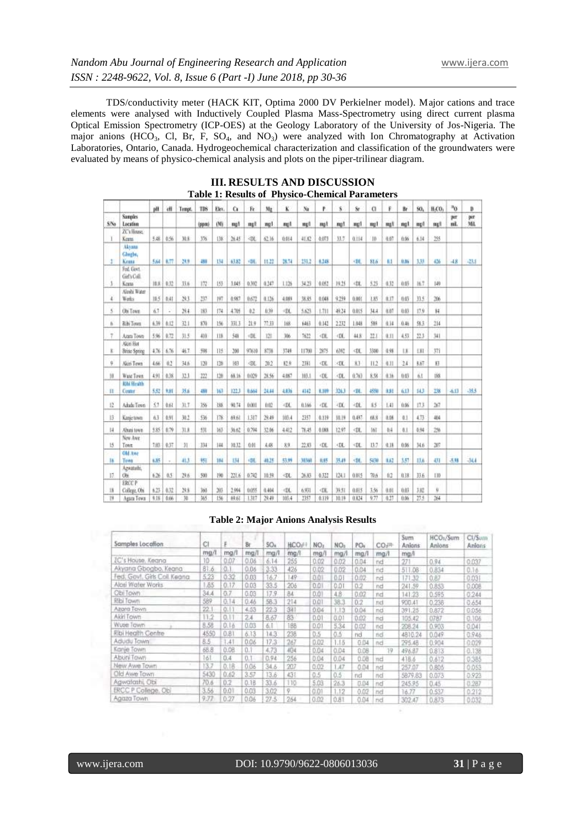TDS/conductivity meter (HACK KIT, Optima 2000 DV Perkielner model). Major cations and trace elements were analysed with Inductively Coupled Plasma Mass-Spectrometry using direct current plasma Optical Emission Spectrometry (ICP-OES) at the Geology Laboratory of the University of Jos-Nigeria. The major anions (HCO<sub>3</sub>, Cl, Br, F, SO<sub>4</sub>, and NO<sub>3</sub>) were analyzed with Ion Chromatography at Activation Laboratories, Ontario, Canada. Hydrogeochemical characterization and classification of the groundwaters were evaluated by means of physico-chemical analysis and plots on the piper-trilinear diagram.

|                  |                                     | pH   | 価    | Tempt. | TBS   | Elev. | G.    | Fr                                                                                                                                                                                  | Mr    | ĸ                                                                                                                                                                                       | Na    | P                                                                                                                         | 8                                                                                                               | 8r                                                                                                                   | $\alpha$ | F.   | Br   | SG,  | H.CO.            | v <sup>e</sup> | Ď          |
|------------------|-------------------------------------|------|------|--------|-------|-------|-------|-------------------------------------------------------------------------------------------------------------------------------------------------------------------------------------|-------|-----------------------------------------------------------------------------------------------------------------------------------------------------------------------------------------|-------|---------------------------------------------------------------------------------------------------------------------------|-----------------------------------------------------------------------------------------------------------------|----------------------------------------------------------------------------------------------------------------------|----------|------|------|------|------------------|----------------|------------|
| \$N <sub>0</sub> | <b>Samples</b><br>Location          |      |      |        | (ppm) | (M)   | mall  | mell                                                                                                                                                                                | mp1   | melf                                                                                                                                                                                    | mell  | mat                                                                                                                       | met                                                                                                             | mel                                                                                                                  | mg1      | mall | mot  | ing/ | net              | per<br>nil.    | bit<br>Mil |
|                  | ZC's House.<br>Kerns                | 不成   | 0.56 | 链接     | 136   | 138   | 36.45 | े के                                                                                                                                                                                | 62.16 | 0.014                                                                                                                                                                                   | 41.82 | 0.073                                                                                                                     | 11.7                                                                                                            | 0.114                                                                                                                | $10 -$   | 0.67 | 0.96 | 6.14 | 355              |                |            |
|                  | Akvana<br>Glegbe,<br>Kema           | 504  | 1.77 | 想用     | 488   | tщ    | 43.82 | -20                                                                                                                                                                                 | 11,22 | 放開                                                                                                                                                                                      | 151.2 | 4.148                                                                                                                     |                                                                                                                 | <dl< td=""><td>81.6</td><td>ы</td><td>0.86</td><td>133</td><td>436</td><td><math>-48</math></td><td>-21.5</td></dl<> | 81.6     | ы    | 0.86 | 133  | 436              | $-48$          | -21.5      |
|                  | Fed. Gevt.<br>Girl's Coll.<br>Keras | 10.8 | 0.32 | 33.6   | 172   | 153   | 1.045 | 0.392                                                                                                                                                                               | 0.347 | 1.126                                                                                                                                                                                   | 34.25 | 4.052                                                                                                                     | 19.25                                                                                                           | $d$ IL                                                                                                               | 5.25     | 0.32 | 页斜   | 167  | 03<br>149        |                |            |
| 4                | Aloshi Witer<br>Webs                | 18.5 | 0.41 | 20.1   | 337   | [9]   | 8.987 | 0.672                                                                                                                                                                               | 0.126 | 4.089                                                                                                                                                                                   | 38.85 | 0.048                                                                                                                     | 9,259                                                                                                           | 0.003                                                                                                                | 1.85     | 0.17 | 0.05 | 33.5 | 266              |                |            |
| 5                | Ohi Town                            | ň3   | 2    | 29.4   | 183   | 174   | 4.705 | b2                                                                                                                                                                                  | 0.99  | <dc< td=""><td>5.623</td><td>1.731</td><td>49.34</td><td><b>O.DES</b></td><td>34.4</td><td>8.87</td><td>0.05</td><td>17.9</td><td><math>\frac{1}{2}</math></td><td></td><td></td></dc<> | 5.623 | 1.731                                                                                                                     | 49.34                                                                                                           | <b>O.DES</b>                                                                                                         | 34.4     | 8.87 | 0.05 | 17.9 | $\frac{1}{2}$    |                |            |
| к                | <b>Ribi Town</b>                    | 6.30 | 6.12 | 32.1   | \$30. | 156   | 331.3 | 21.9                                                                                                                                                                                | 77.11 | 168                                                                                                                                                                                     | 6463  | 0.142                                                                                                                     | 2232                                                                                                            | 1.848                                                                                                                | 584      | 0.14 | 0.46 | 51.1 | 214              |                |            |
| Ŧ                | Azata Town                          | 5.96 | 0.72 | 非王     | 410   | 118   | 548   | <de< td=""><td>121</td><td>306</td><td>1622</td><td><b>CDL</b></td><td>CDL</td><td>418</td><td>22.1</td><td>0.11</td><td>4.53</td><td>33.3</td><td>341</td><td></td><td></td></de<> | 121   | 306                                                                                                                                                                                     | 1622  | <b>CDL</b>                                                                                                                | CDL                                                                                                             | 418                                                                                                                  | 22.1     | 0.11 | 4.53 | 33.3 | 341              |                |            |
| ĸ                | Akiri Hot<br>Britic Spring          | 4.76 | 676  | 46.7   | 翔     | Há    | 200   | 97610                                                                                                                                                                               | 8738  | 3749                                                                                                                                                                                    | 11700 | 3875                                                                                                                      | 6362                                                                                                            | <0L                                                                                                                  | 3300     | 0.95 | tk   | 181  | 371              |                |            |
| ÿ.               | Akiri Town                          | 4.66 | 0.2  | 34.6   | 120   | 130   | 183   | <b>OL</b>                                                                                                                                                                           | 20.2  | \$2.9                                                                                                                                                                                   | 2385  | -DL                                                                                                                       | <dl< td=""><td>83</td><td>11.2</td><td>0.11</td><td>24</td><td>8.67</td><td>启</td><td></td><td></td></dl<>      | 83                                                                                                                   | 11.2     | 0.11 | 24   | 8.67 | 启                |                |            |
| M                | Wate Town                           | 4.91 | 0.38 | 32.1   | 222   | L10   | 65.16 | 0.029                                                                                                                                                                               | 28.56 | 4887                                                                                                                                                                                    | 163.1 | -DE                                                                                                                       | <dl< td=""><td>0.763</td><td>8.58</td><td>0.36</td><td>0.65</td><td>ňİ</td><td>iis</td><td></td><td></td></dl<> | 0.763                                                                                                                | 8.58     | 0.36 | 0.65 | ňİ   | iis              |                |            |
| п                | <b>Rhi Health</b><br>Conter         | 5.52 | 9,91 | 35.6   | 481   | 161   | 122.3 | 6,664                                                                                                                                                                               | 34.14 | 4.836                                                                                                                                                                                   | 4342  | 1,109                                                                                                                     | 336.3                                                                                                           | -m                                                                                                                   | 4530     | 835  | 613  | \$43 | 18               | 411            | -35.5      |
| 52               | Adudu Town                          | 33   | 0.61 | 批工     | 156   | 188   | 90.74 | 0.001                                                                                                                                                                               | 0.02  | <dl< td=""><td>0.166</td><td><dl< td=""><td>ФX.</td><td>-DL</td><td>85</td><td>1.41</td><td>0.06</td><td>17.3</td><td>267</td><td></td><td></td></dl<></td></dl<>                       | 0.166 | <dl< td=""><td>ФX.</td><td>-DL</td><td>85</td><td>1.41</td><td>0.06</td><td>17.3</td><td>267</td><td></td><td></td></dl<> | ФX.                                                                                                             | -DL                                                                                                                  | 85       | 1.41 | 0.06 | 17.3 | 267              |                |            |
| 13               | Kanje town                          | 63   | 0.91 | 30.2   | 536   | 178   | 根料    | 1317                                                                                                                                                                                | 29.49 | 103.4                                                                                                                                                                                   | 1357  | 0.119                                                                                                                     | 10.19                                                                                                           | 0.497                                                                                                                | 68.8     | 0.06 | 0.1  | 4.73 | 404              |                |            |
| 4                | Altuni town                         | 5.85 | 679  | 31.8   | 51    | 163   | 装权    | 0.794                                                                                                                                                                               | 32.06 | 4412                                                                                                                                                                                    | 78.45 | 0.003                                                                                                                     | 12.97                                                                                                           | <dl< td=""><td>W</td><td>64</td><td>8.1</td><td>6.94</td><td>2%</td><td></td><td></td></dl<>                         | W        | 64   | 8.1  | 6.94 | 2%               |                |            |
| В                | New Awe<br>Town                     | 7.03 | 0.37 | я      | 334   | 144   | 10.12 | 0.00                                                                                                                                                                                | 未収    | 89                                                                                                                                                                                      | 22.83 | Œ                                                                                                                         | -DL                                                                                                             | $\lll$                                                                                                               | 13.7     | 0.18 | 0.06 | 34.6 | 207              |                |            |
| и                | Old Ave<br>Town                     | 6.85 | ÷    | 41.3   | 451   | 184   | 淇     | 40                                                                                                                                                                                  | 49.25 | 53.99                                                                                                                                                                                   | VEMI  | 0.85                                                                                                                      | 技術                                                                                                              | 中                                                                                                                    | 5430     | 133  | 3.57 | IJá  | 431              | 活移             | -364       |
| 12               | Azvatoris,<br>Ohi.                  | 626  | 0.5  | 29.6   | 500   | 190   | 221.6 | 6742                                                                                                                                                                                | 10.99 | <b>DL</b>                                                                                                                                                                               | 36.83 | 6322                                                                                                                      | <b>INI</b>                                                                                                      | 0.015                                                                                                                | 70.6     | 62   | ū18  | 33.6 | 110              |                |            |
| 18               | <b>ERCCP</b><br>College Obi         | 6.23 | 832  | 34.6   | 160   | 201   | 2.994 | 0.055                                                                                                                                                                               | 0.404 | «DL                                                                                                                                                                                     | 6931  | -DE                                                                                                                       | 39.31                                                                                                           | 0.015                                                                                                                | 1.56     | 0.05 | 0.03 | 3.02 | ù                |                |            |
| Ħ                | Agaza Town                          | 818  | 0.66 | 排      | 365   | 156   | 模刻    | 1.317                                                                                                                                                                               | 39.49 | 103.4                                                                                                                                                                                   | 3357  | 6.119                                                                                                                     | 10.19                                                                                                           | 0.034                                                                                                                | 9.77     | 0.37 | 0.06 | 27.5 | $\overline{284}$ |                |            |

# **III. RESULTS AND DISCUSSION Table 1: Results of Physico-Chemical Parameters**

#### **Table 2: Major Anions Analysis Results**

| Samples Location             | CI   |      | Br   | SO <sub>0</sub> | <b>HCOV</b> | NO <sub>1</sub> | NO <sub>1</sub> | PO <sub>1</sub> | COJP | Sum<br>Anions | HCG1/Sum<br>Anions | Cl/Sum<br>Anlaris |
|------------------------------|------|------|------|-----------------|-------------|-----------------|-----------------|-----------------|------|---------------|--------------------|-------------------|
|                              | mg/l | ma/l | mg/l | Frigatt.        | mg/l        | mg/l            | ma/l            | ma/l            | ma/l | mail          |                    |                   |
| IC's House, Keana            | 10   | 0.07 | 0.06 | 6.14            | 255         | 0.02            | 0.02            | 0.04            | nd   | 271           | 0.94               | 0.037             |
| Akyana Gboabo, Keana         | 81.6 | 0.1  | 0.06 | 3.33            | 426         | 0.02            | 0.02            | 0.04            | nd   | 511.06        | 0.834              | 0.16              |
| Fed. Gov!, Girls Coll, Keana | 5.23 | 0.32 | 0.03 | 16.7            | 149         | 0.01            | 0.01            | 0.02            | nd   | 171.32        | 0.87               | 0.031             |
| Alasi Water Works            | 1,85 | 0.17 | 0.03 | 33.5            | 206         | 0.01            | 0.01            | 0.2             | ind  | 241.59        | 0.853              | 0.008             |
| Obil Town                    | 34.4 | 0.7  | 0.03 | 17.9            | BA          | 0.01            | 4.8             | 0.02            | nd   | 141:23        | 0.595              | 0.244             |
| <b>Ribi Town</b>             | 589  | 0.14 | 0.46 | 58.3            | 214         | 0.01            | 38.3            | 0.2             | nd   | 900.41        | 0.238              | 0.654             |
| Azara Town                   | 22.1 | 0.11 | 4.53 | 22.3            | 341         | 0.04            | 1.13            | 0.04            | nd   | 391.25        | 0.872              | 0.056             |
| Akiri Town                   | 11.2 | 0.1  | 2.4  | 8.67            | 83          | 0.01            | 0.01            | 0.02            | tid  | 105.42        | 0787               | 0.106             |
| Wuse Town                    | 8.58 | 0.18 | 0.03 | 6.1             | 188         | 0.01            | 5.34            | 0.02            | tid  | 208.24        | 0.903              | 0.041             |
| kibi Health Centre           | 4550 | 0.81 | 6.13 | 14.3            | 238         | 0.5             | 0.5             | nd              | nd   | 4810.24       | 0.049              | 0.946             |
| Adudu Tawn                   | 8.5  | 1.41 | 0.06 | 17.3            | 267         | 0.02            | 1.15            | 0.04            | nd   | 295.48        | 0.904              | 0.029             |
| Kanie Town                   | 68.8 | 0.08 | 0.1  | 4.73            | 404         | 0.04            | 0.04            | 0.08            | 19   | 496.87        | 0.813              | 0.138             |
| Abuni Town                   | 161  | 0.4  | 0.1  | 0.94            | 256         | 0.04            | 0.04            | 0.08            | tid  | 418.6         | 0.612              | 0.385             |
| New Awe Town                 | 13.7 | 0.18 | 0.06 | 34.6            | 207         | 0.02            | A7              | 0.04            | nd   | 257.07        | 0.805              | 0.053             |
| Old Awe Town                 | 5430 | 0.62 | 3.57 | 13.6            | 431         | 0.5             | 0.5             | rid             | nd   | 5879.83       | 0.073              | 0.923             |
| Agwatathi, Obi               | 70.6 | 0.2  | 0.18 | 33.6            | 110         | 5.03            | 26.3            | 0.04            | nd   | 245.95        | 0.45               | 0.287             |
| ERCC P College, Obl.         | 3.56 | 0.01 | 0.03 | 3.02            | 9.          | 0.01            | 1.12            | 0.02            | nd   | 16.77         | 0.537              | 0.212             |
| Agaza Town                   | 9.72 | 0.27 | 0.06 | 27.5            | 264         | 0.02            | 0.81            | 0.04            | nd   | 302.47        | 0.873              | 0.032             |

ÿ.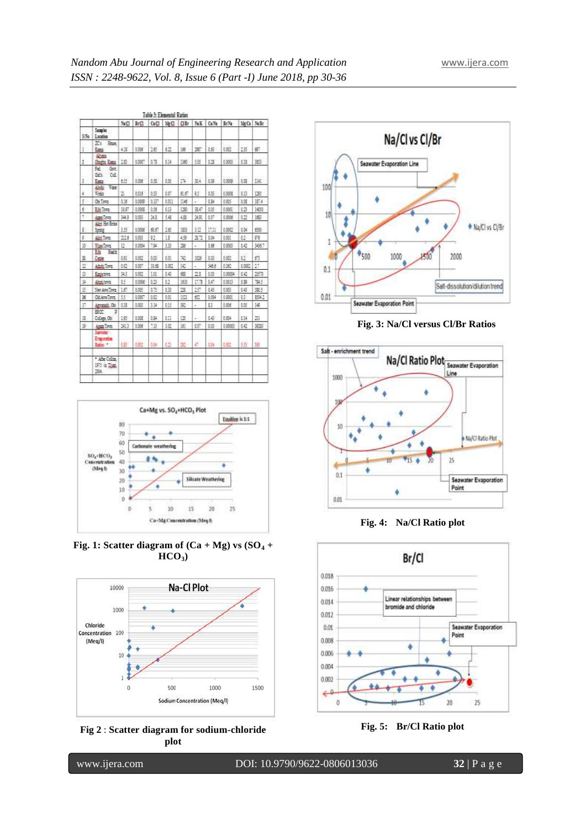| Table 3: Elemental Ratins |                                                |            |        |             |            |       |       |       |            |            |       |
|---------------------------|------------------------------------------------|------------|--------|-------------|------------|-------|-------|-------|------------|------------|-------|
|                           |                                                | <b>SaC</b> | BЩ     | <b>GitT</b> | 1E LI      | Clift | NaK   | Ca Na | BrNa       | <b>JEG</b> | No Br |
| SSs:                      | Samules:<br>Lociton                            |            |        |             |            |       |       |       |            |            |       |
| 1                         | <b>Z's</b> House<br><b>East</b>                | 4.30       | 0.006  | 2筋          | 622        | 146   | 287   | 16    | 0.002      | 13         | g,    |
| 1                         | Alberta<br>Gusta Kana                          | 28         | 0.008  | 478         | 614        | 1360  | 505   | 13    | 0.0003     | EH.        | 哪     |
| Ŧ                         | Ϊż<br>Got.<br>Gils.<br>Col.<br>Espe            | 895        | 0.008  | 69          | 655        | D.    | 354   | 18    | 0.0009     | 認          | E4L   |
| 4                         | Vice<br>Alpide<br>Toky                         | 'n         | 0.016  | 4节          | <b>BST</b> | 意が    | 45.   | 1.05  | 0.0008     | 813        | 1355  |
| š                         | Oid Town                                       | 0.16       | 0.008  | 0.BP        | <b>LET</b> | 目板    | z     | u     | 685        | 狐          | IF4   |
| 6                         | <b>Elis Town</b>                               | 排印         | 0.0008 | 0.55        | 613        | 130   | 38.47 | 105   | 0.000      | 13         | 169   |
| Ť                         | Ages Toyot                                     | 343        | 0.005  | 23          | 18         | 4.33  | 深美    | 807   | 0.0006     | 12         | 1892  |
| ş,                        | Albin Hot Britis<br>Sping                      | 395        | 0.0006 | 最后          | 16         | 哪     | 332   | 問目    | 0.000      | 科技         | 600   |
| ø                         | film long                                      | 225        | 0.003  | 92          | Ħ          | 146   | 37    | 键     | <b>BBI</b> | 12         | 98    |
| n                         | <b>Size Town</b>                               | n          | 0.0084 | 7.94        | 339        | 26    | i.    | 1.65  | 0.005      | 142        | 3567  |
| II                        | 菗<br>Halft<br>Cate                             | 姐          | 0,000  | 邮           | 0.33       | N.    | 185   | 88    | 0.022      | łΰ         | 醋     |
| n                         | André Toyot                                    | 0.C        | 0.007  | 顶层          | 6.921      | 141   | ×,    | 546.6 | 0.92       | 1,000      | 27    |
| B                         | Eastetova                                      | 33         | 0.002  | 1.03        | 頧          | 磁     | m     | 8.69  | 0.00004    | 842        | 257   |
| k                         | <b>Altres brots</b>                            | 低          | 0,0006 | 0.25        | 62         | 1610  | 印度    | 847   | 0.003      | £B         | 7845  |
| B                         | Sex Age Town                                   | 16         | 0.005  | 0.75        | 633        | 13    | 257   | 15    | 693        | 1.6        | 385   |
| 16                        | Old Ave Town                                   | 55         | 0.000  | 6.62        | <b>M</b>   | 1521  | 67    | 5.004 | 6.000      | 15         | 5341  |
| E                         | Arresta Ob.                                    | 0.38       | 0.003  | 334         | 815        | 凱     | ä.    | ड     | 0.006      | 18         | 140   |
| Ħ                         | Þ<br>EROC:<br>College Obi                      | HS.        | 0.008  | 035         | BB         | 120   | ÷.    | 16    | 0.04       | £14        | 23    |
| 謜                         | Area Times                                     | 2013       | 0.006  | 13          | 封屋         | f     | 607   | 16    | 0.000E     | 10         | 303   |
|                           | <b>Service</b><br>Ergersten<br><b>Radius</b> # | 舷          | 0.003  | OR.         | 629        | 譅     | a     | 305   | 仙应         | 55         | 振     |
|                           | * Atten Colina<br>1975 in Tree,<br>進化          |            |        |             |            |       |       |       |            |            |       |



**Fig.** 1: Scatter diagram of  $(Ca + Mg)$  vs  $(SO<sub>4</sub> +$ **HCO3)**







**Fig. 3: Na/Cl versus Cl/Br Ratios**



**Fig. 4: Na/Cl Ratio plot**



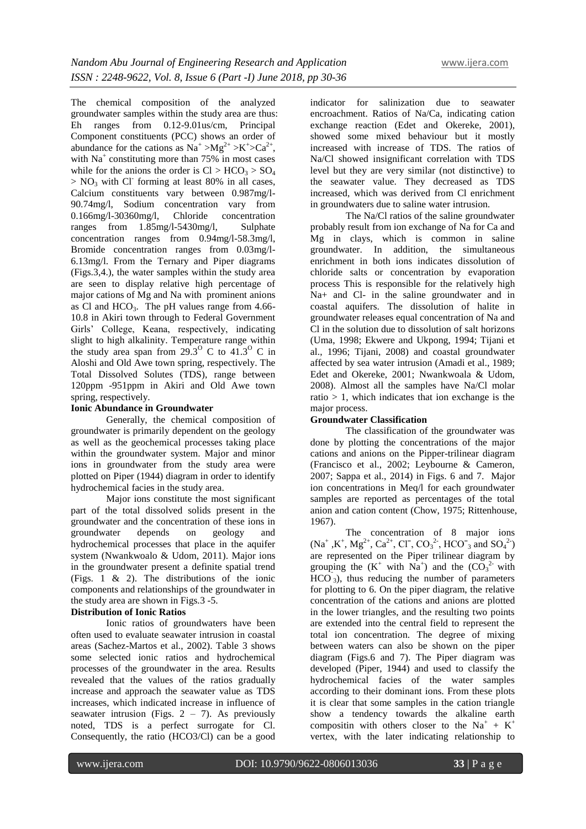The chemical composition of the analyzed groundwater samples within the study area are thus: Eh ranges from 0.12-9.01us/cm, Principal Component constituents (PCC) shows an order of abundance for the cations as  $Na^+ > Mg^{2+} > K^+ > Ca^{2+}$ , with Na<sup>+</sup> constituting more than 75% in most cases while for the anions the order is  $Cl > HCO<sub>3</sub> > SO<sub>4</sub>$  $> NO<sub>3</sub>$  with Cl<sup>-</sup> forming at least 80% in all cases, Calcium constituents vary between 0.987mg/l-90.74mg/l, Sodium concentration vary from 0.166mg/l-30360mg/l, Chloride concentration ranges from 1.85mg/l-5430mg/l, Sulphate concentration ranges from 0.94mg/l-58.3mg/l, Bromide concentration ranges from 0.03mg/l-6.13mg/l. From the Ternary and Piper diagrams (Figs.3,4.), the water samples within the study area are seen to display relative high percentage of major cations of Mg and Na with prominent anions as Cl and  $HCO<sub>3</sub>$ . The pH values range from 4.66-10.8 in Akiri town through to Federal Government Girls' College, Keana, respectively, indicating slight to high alkalinity. Temperature range within the study area span from  $29.3^{\circ}$  C to  $41.3^{\circ}$  C in Aloshi and Old Awe town spring, respectively. The Total Dissolved Solutes (TDS), range between 120ppm -951ppm in Akiri and Old Awe town spring, respectively.

## **Ionic Abundance in Groundwater**

Generally, the chemical composition of groundwater is primarily dependent on the geology as well as the geochemical processes taking place within the groundwater system. Major and minor ions in groundwater from the study area were plotted on Piper (1944) diagram in order to identify hydrochemical facies in the study area.

Major ions constitute the most significant part of the total dissolved solids present in the groundwater and the concentration of these ions in groundwater depends on geology and hydrochemical processes that place in the aquifer system (Nwankwoalo & Udom, 2011). Major ions in the groundwater present a definite spatial trend (Figs. 1 & 2). The distributions of the ionic components and relationships of the groundwater in the study area are shown in Figs.3 -5.

# **Distribution of Ionic Ratios**

Ionic ratios of groundwaters have been often used to evaluate seawater intrusion in coastal areas (Sachez-Martos et al., 2002). Table 3 shows some selected ionic ratios and hydrochemical processes of the groundwater in the area. Results revealed that the values of the ratios gradually increase and approach the seawater value as TDS increases, which indicated increase in influence of seawater intrusion (Figs.  $2 - 7$ ). As previously noted, TDS is a perfect surrogate for Cl. Consequently, the ratio (HCO3/Cl) can be a good

indicator for salinization due to seawater encroachment. Ratios of Na/Ca, indicating cation exchange reaction (Edet and Okereke, 2001), showed some mixed behaviour but it mostly increased with increase of TDS. The ratios of Na/Cl showed insignificant correlation with TDS level but they are very similar (not distinctive) to the seawater value. They decreased as TDS increased, which was derived from Cl enrichment in groundwaters due to saline water intrusion.

The Na/Cl ratios of the saline groundwater probably result from ion exchange of Na for Ca and Mg in clays, which is common in saline groundwater. In addition, the simultaneous enrichment in both ions indicates dissolution of chloride salts or concentration by evaporation process This is responsible for the relatively high Na+ and Cl- in the saline groundwater and in coastal aquifers. The dissolution of halite in groundwater releases equal concentration of Na and Cl in the solution due to dissolution of salt horizons (Uma, 1998; Ekwere and Ukpong, 1994; Tijani et al., 1996; Tijani, 2008) and coastal groundwater affected by sea water intrusion (Amadi et al., 1989; Edet and Okereke, 2001; Nwankwoala & Udom, 2008). Almost all the samples have Na/Cl molar ratio  $> 1$ , which indicates that ion exchange is the major process.

# **Groundwater Classification**

The classification of the groundwater was done by plotting the concentrations of the major cations and anions on the Pipper-trilinear diagram (Francisco et al., 2002; Leybourne & Cameron, 2007; Sappa et al., 2014) in Figs. 6 and 7. Major ion concentrations in Meq/l for each groundwater samples are reported as percentages of the total anion and cation content (Chow, 1975; Rittenhouse, 1967).

The concentration of 8 major ions  $(Na^+, K^+, Mg^{2+}, Ca^{2+}, Cl^-, CO_3^{2-}, HCO^-_3$  and  $SO_4^{2-})$ are represented on the Piper trilinear diagram by grouping the  $(K^+$  with  $Na^+)$  and the  $(CO_3^2)$  with  $HCO<sub>3</sub>$ ), thus reducing the number of parameters for plotting to 6. On the piper diagram, the relative concentration of the cations and anions are plotted in the lower triangles, and the resulting two points are extended into the central field to represent the total ion concentration. The degree of mixing between waters can also be shown on the piper diagram (Figs.6 and 7). The Piper diagram was developed (Piper, 1944) and used to classify the hydrochemical facies of the water samples according to their dominant ions. From these plots it is clear that some samples in the cation triangle show a tendency towards the alkaline earth compositin with others closer to the  $Na^+ + K^+$ vertex, with the later indicating relationship to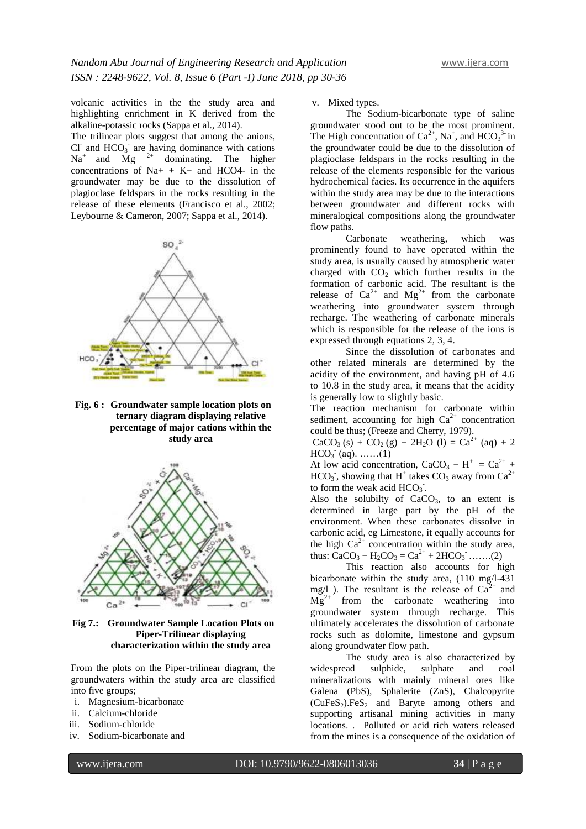volcanic activities in the the study area and highlighting enrichment in K derived from the alkaline-potassic rocks (Sappa et al., 2014).

The trilinear plots suggest that among the anions, Cl<sup>-</sup> and  $HCO_3$ <sup>-</sup> are having dominance with cations  $Na<sup>+</sup>$  and  $Mg<sup>2+</sup>$  dominating. The higher concentrations of  $Na+ + K+$  and HCO4- in the groundwater may be due to the dissolution of plagioclase feldspars in the rocks resulting in the release of these elements (Francisco et al., 2002; Leybourne & Cameron, 2007; Sappa et al., 2014).



**Fig. 6 : Groundwater sample location plots on ternary diagram displaying relative percentage of major cations within the study area**



**Fig 7.: Groundwater Sample Location Plots on Piper-Trilinear displaying characterization within the study area**

From the plots on the Piper-trilinear diagram, the groundwaters within the study area are classified into five groups;

- i. Magnesium-bicarbonate
- ii. Calcium-chloride
- iii. Sodium-chloride
- iv. Sodium-bicarbonate and

v. Mixed types.

The Sodium-bicarbonate type of saline groundwater stood out to be the most prominent. The High concentration of  $Ca^{2+}$ , Na<sup>+</sup>, and HCO<sub>3</sub><sup>3-</sup> in the groundwater could be due to the dissolution of plagioclase feldspars in the rocks resulting in the release of the elements responsible for the various hydrochemical facies. Its occurrence in the aquifers within the study area may be due to the interactions between groundwater and different rocks with mineralogical compositions along the groundwater flow paths.

Carbonate weathering, which was prominently found to have operated within the study area, is usually caused by atmospheric water charged with  $CO<sub>2</sub>$  which further results in the formation of carbonic acid. The resultant is the release of  $Ca^{2+}$  and  $Mg^{2+}$  from the carbonate weathering into groundwater system through recharge. The weathering of carbonate minerals which is responsible for the release of the ions is expressed through equations 2, 3, 4.

Since the dissolution of carbonates and other related minerals are determined by the acidity of the environment, and having pH of 4.6 to 10.8 in the study area, it means that the acidity is generally low to slightly basic.

The reaction mechanism for carbonate within sediment, accounting for high  $Ca^{2+}$  concentration could be thus; (Freeze and Cherry, 1979).

 $CaCO<sub>3</sub>(s) + CO<sub>2</sub>(g) + 2H<sub>2</sub>O (l) = Ca<sup>2+</sup> (aq) + 2$  $HCO<sub>3</sub>$  (aq). ......(1)

At low acid concentration,  $CaCO<sub>3</sub> + H<sup>+</sup> = Ca<sup>2+</sup> +$  $HCO<sub>3</sub>$ , showing that H<sup>+</sup> takes  $CO<sub>3</sub>$  away from  $Ca<sup>2+</sup>$ to form the weak acid  $HCO<sub>3</sub>$ .

Also the solubilty of  $CaCO<sub>3</sub>$ , to an extent is determined in large part by the pH of the environment. When these carbonates dissolve in carbonic acid, eg Limestone, it equally accounts for the high  $Ca^{2+}$  concentration within the study area, thus:  $CaCO_3 + H_2CO_3 = Ca^{2+} + 2HCO_3$  .......(2)

This reaction also accounts for high bicarbonate within the study area, (110 mg/l-431 mg/l ). The resultant is the release of  $Ca^{2+}$  and  $Mg^{2+}$  from the carbonate weathering into groundwater system through recharge. This ultimately accelerates the dissolution of carbonate rocks such as dolomite, limestone and gypsum along groundwater flow path.

The study area is also characterized by widespread sulphide, sulphate and coal mineralizations with mainly mineral ores like Galena (PbS), Sphalerite (ZnS), Chalcopyrite  $(CuFeS<sub>2</sub>)$ .FeS<sub>2</sub> and Baryte among others and supporting artisanal mining activities in many locations. . Polluted or acid rich waters released from the mines is a consequence of the oxidation of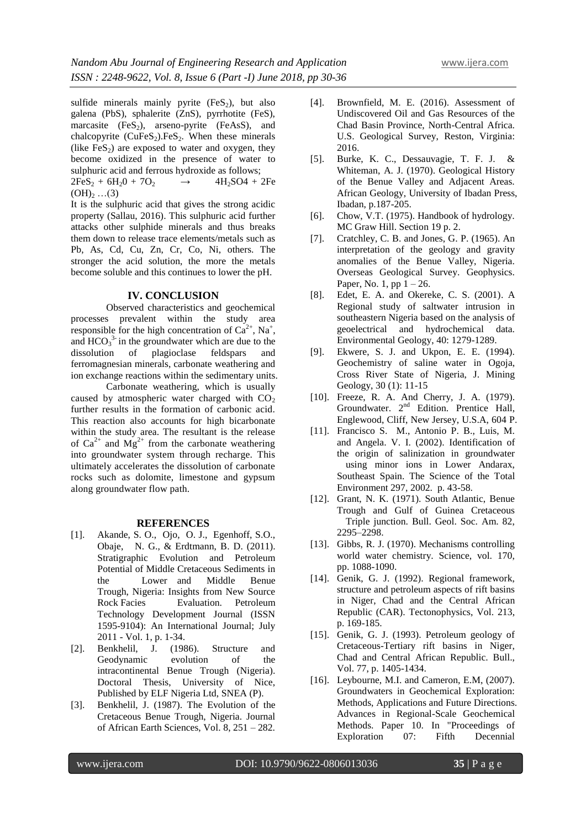sulfide minerals mainly pyrite  $(F \in S_2)$ , but also galena (PbS), sphalerite (ZnS), pyrrhotite (FeS), marcasite  $(FeS_2)$ , arseno-pyrite (FeAsS), and chalcopyrite  $(CuFeS<sub>2</sub>)$ . FeS<sub>2</sub>. When these minerals (like  $FeS<sub>2</sub>$ ) are exposed to water and oxygen, they become oxidized in the presence of water to sulphuric acid and ferrous hydroxide as follows;  $2FeS_2 + 6H_2O + 7O_2 \rightarrow 4H_2SO4 + 2Fe$  $(OH)_{2}$  …(3)

It is the sulphuric acid that gives the strong acidic property (Sallau, 2016). This sulphuric acid further attacks other sulphide minerals and thus breaks them down to release trace elements/metals such as Pb, As, Cd, Cu, Zn, Cr, Co, Ni, others. The stronger the acid solution, the more the metals become soluble and this continues to lower the pH.

# **IV. CONCLUSION**

Observed characteristics and geochemical processes prevalent within the study area responsible for the high concentration of  $Ca^{2+}$ , Na<sup>+</sup>, and  $HCO<sub>3</sub><sup>3</sup>$  in the groundwater which are due to the dissolution of plagioclase feldspars and ferromagnesian minerals, carbonate weathering and ion exchange reactions within the sedimentary units.

Carbonate weathering, which is usually caused by atmospheric water charged with  $CO<sub>2</sub>$ further results in the formation of carbonic acid. This reaction also accounts for high bicarbonate within the study area. The resultant is the release of  $Ca^{2+}$  and  $Mg^{2+}$  from the carbonate weathering into groundwater system through recharge. This ultimately accelerates the dissolution of carbonate rocks such as dolomite, limestone and gypsum along groundwater flow path.

#### **REFERENCES**

- [1]. Akande, S. O., Ojo, O. J., Egenhoff, S.O., Obaje, N. G., & Erdtmann, B. D. (2011). Stratigraphic Evolution and Petroleum Potential of Middle Cretaceous Sediments in the Lower and Middle Benue Trough, Nigeria: Insights from New Source Rock Facies Evaluation. Petroleum Technology Development Journal (ISSN 1595-9104): An International Journal; July 2011 - Vol. 1, p. 1-34.
- [2]. Benkhelil, J. (1986). Structure and Geodynamic evolution of the intracontinental Benue Trough (Nigeria). Doctoral Thesis, University of Nice, Published by ELF Nigeria Ltd, SNEA (P).
- [3]. Benkhelil, J. (1987). The Evolution of the Cretaceous Benue Trough, Nigeria. Journal of African Earth Sciences, Vol. 8, 251 – 282.
- [4]. Brownfield, M. E. (2016). Assessment of Undiscovered Oil and Gas Resources of the Chad Basin Province, North-Central Africa. U.S. Geological Survey, Reston, Virginia: 2016.
- [5]. Burke, K. C., Dessauvagie, T. F. J. & Whiteman, A. J. (1970). Geological History of the Benue Valley and Adjacent Areas. African Geology, University of Ibadan Press, Ibadan, p.187-205.
- [6]. Chow, V.T. (1975). Handbook of hydrology. MC Graw Hill. Section 19 p. 2.
- [7]. Cratchley, C. B. and Jones, G. P. (1965). An interpretation of the geology and gravity anomalies of the Benue Valley, Nigeria. Overseas Geological Survey. Geophysics. Paper, No. 1, pp  $1 - 26$ .
- [8]. Edet, E. A. and Okereke, C. S. (2001). A Regional study of saltwater intrusion in southeastern Nigeria based on the analysis of geoelectrical and hydrochemical data. Environmental Geology, 40: 1279-1289.
- [9]. Ekwere, S. J. and Ukpon, E. E. (1994). Geochemistry of saline water in Ogoja, Cross River State of Nigeria, J. Mining Geology, 30 (1): 11-15
- [10]. Freeze, R. A. And Cherry, J. A. (1979). Groundwater. 2<sup>nd</sup> Edition. Prentice Hall, Englewood, Cliff, New Jersey, U.S.A, 604 P.
- [11]. Francisco S. M., Antonio P. B., Luis, M. and Angela. V. I. (2002). Identification of the origin of salinization in groundwater using minor ions in Lower Andarax, Southeast Spain. The Science of the Total Environment 297, 2002. p. 43-58.
- [12]. Grant, N. K. (1971). South Atlantic, Benue Trough and Gulf of Guinea Cretaceous Triple junction. Bull. Geol. Soc. Am. 82, 2295–2298.
- [13]. Gibbs, R. J. (1970). Mechanisms controlling world water chemistry. Science, vol. 170, pp. 1088-1090.
- [14]. Genik, G. J. (1992). Regional framework, structure and petroleum aspects of rift basins in Niger, Chad and the Central African Republic (CAR). Tectonophysics, Vol. 213, p. 169-185.
- [15]. Genik, G. J. (1993). Petroleum geology of Cretaceous-Tertiary rift basins in Niger, Chad and Central African Republic. Bull., Vol. 77, p. 1405-1434.
- [16]. Leybourne, M.I. and Cameron, E.M. (2007). Groundwaters in Geochemical Exploration: Methods, Applications and Future Directions. Advances in Regional-Scale Geochemical Methods. Paper 10. In "Proceedings of Exploration 07: Fifth Decennial